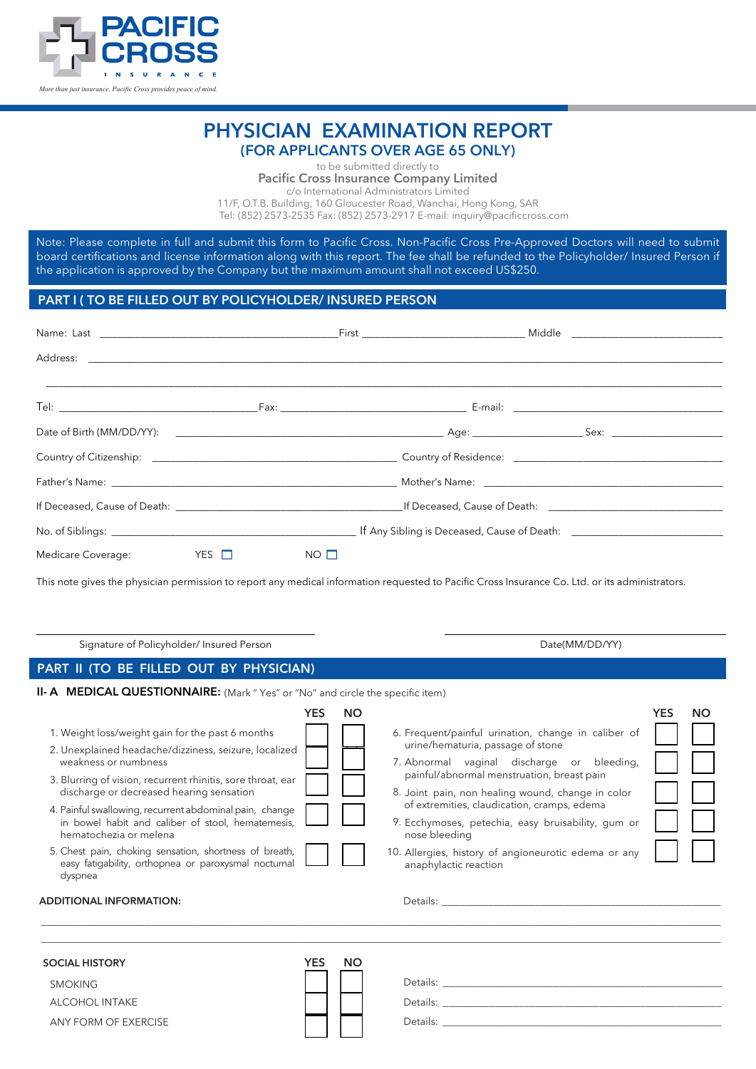

## PHYSICIAN EXAMINATION REPORT (FOR APPLICANTS OVER AGE 65 ONLY)

to be submitted directly to

Pacific Cross Insurance Company Limited

c/o International Administrators Limited 11/F, O.T.B. Building, 160 Gloucester Road, Wanchai, Hong Kong, SAR

Tel: (852) 2573-2535 Fax: (852) 2573-2917 E-mail: inquiry@pacificcross.com

Note: Please complete in full and submit this form to Pacific Cross. Non-Pacific Cross Pre-Approved Doctors will need to submit board certifications and license information along with this report. The fee shall be refunded to the Policyholder/ Insured Person if the application is approved by the Company but the maximum amount shall not exceed US\$250.

## PART I ( TO BE FILLED OUT BY POLICYHOLDER/ INSURED PERSON

|                        |              |             | If Deceased, Cause of Death: The Cause of Death: The Cause of Death: The Cause of Death: The Cause of Death: The Cause of Death: The Cause of Death: The Cause of Death: The Cause of Death: The Cause of Death: The Cause of |  |
|------------------------|--------------|-------------|-------------------------------------------------------------------------------------------------------------------------------------------------------------------------------------------------------------------------------|--|
|                        |              |             |                                                                                                                                                                                                                               |  |
| Medicare Coverage: YES | $\mathbf{1}$ | $NO$ $\Box$ |                                                                                                                                                                                                                               |  |

This note gives the physician permission to report any medical information requested to Pacific Cross Insurance Co. Ltd. or its administrators.

| Signature of Policyholder/ Insured Person                                                                                                                                                                                                                                                                                                                                                                                                                                                                                         | Date(MM/DD/YY)                                                                                                                                                                                                                                                                                                                                                                                                                                                                           |  |  |  |  |
|-----------------------------------------------------------------------------------------------------------------------------------------------------------------------------------------------------------------------------------------------------------------------------------------------------------------------------------------------------------------------------------------------------------------------------------------------------------------------------------------------------------------------------------|------------------------------------------------------------------------------------------------------------------------------------------------------------------------------------------------------------------------------------------------------------------------------------------------------------------------------------------------------------------------------------------------------------------------------------------------------------------------------------------|--|--|--|--|
| PART II (TO BE FILLED OUT BY PHYSICIAN)                                                                                                                                                                                                                                                                                                                                                                                                                                                                                           |                                                                                                                                                                                                                                                                                                                                                                                                                                                                                          |  |  |  |  |
| II- A MEDICAL QUESTIONNAIRE: (Mark "Yes" or "No" and circle the specific item)                                                                                                                                                                                                                                                                                                                                                                                                                                                    |                                                                                                                                                                                                                                                                                                                                                                                                                                                                                          |  |  |  |  |
| <b>YES</b><br>1. Weight loss/weight gain for the past 6 months<br>2. Unexplained headache/dizziness, seizure, localized<br>weakness or numbness<br>3. Blurring of vision, recurrent rhinitis, sore throat, ear<br>discharge or decreased hearing sensation<br>4. Painful swallowing, recurrent abdominal pain, change<br>in bowel habit and caliber of stool, hematemesis,<br>hematochezia or melena<br>5. Chest pain, choking sensation, shortness of breath,<br>easy fatigability, orthopnea or paroxysmal nocturnal<br>dyspnea | <b>YES</b><br><b>NO</b><br><b>NO</b><br>6. Frequent/painful urination, change in caliber of<br>urine/hematuria, passage of stone<br>7. Abnormal vaginal discharge or bleeding,<br>painful/abnormal menstruation, breast pain<br>8. Joint pain, non healing wound, change in color<br>of extremities, claudication, cramps, edema<br>9. Ecchymoses, petechia, easy bruisability, gum or<br>nose bleeding<br>10. Allergies, history of angioneurotic edema or any<br>anaphylactic reaction |  |  |  |  |
| <b>ADDITIONAL INFORMATION:</b><br><b>YES</b><br><b>SOCIAL HISTORY</b><br><b>SMOKING</b><br><b>ALCOHOL INTAKE</b><br>ANY FORM OF EXERCISE                                                                                                                                                                                                                                                                                                                                                                                          | Details: Note of the Commission of the Commission of the Commission of the Commission of the Commission of the<br><b>NO</b>                                                                                                                                                                                                                                                                                                                                                              |  |  |  |  |